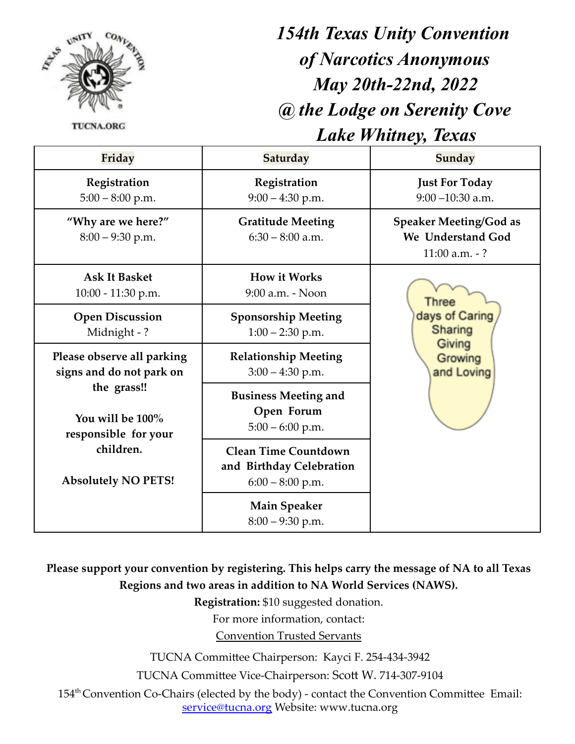

**TUCNA.ORG** 

## *154th Texas Unity Convention of Narcotics Anonymous May 20th-22nd, 2022 @ the Lodge on Serenity Cove Lake Whitney, Texas*

| Friday                                                                                                                                                       | Saturday                                                                      | Sunday                                                                 |
|--------------------------------------------------------------------------------------------------------------------------------------------------------------|-------------------------------------------------------------------------------|------------------------------------------------------------------------|
| Registration<br>$5:00 - 8:00$ p.m.                                                                                                                           | Registration<br>$9:00 - 4:30$ p.m.                                            | <b>Just For Today</b><br>$9:00 - 10:30$ a.m.                           |
| "Why are we here?"<br>$8:00 - 9:30$ p.m.                                                                                                                     | <b>Gratitude Meeting</b><br>$6:30 - 8:00$ a.m.                                | <b>Speaker Meeting/God as</b><br>We Understand God<br>11:00 $a.m. - ?$ |
| <b>Ask It Basket</b><br>10:00 - 11:30 p.m.                                                                                                                   | <b>How it Works</b><br>9:00 a.m. - Noon                                       | Three<br>days of Caring<br>Sharing<br>Giving<br>Growing<br>and Loving  |
| <b>Open Discussion</b><br>Midnight -?                                                                                                                        | <b>Sponsorship Meeting</b><br>$1:00 - 2:30$ p.m.                              |                                                                        |
| Please observe all parking<br>signs and do not park on<br>the grass!!<br>You will be 100%<br>responsible for your<br>children.<br><b>Absolutely NO PETS!</b> | <b>Relationship Meeting</b><br>$3:00 - 4:30$ p.m.                             |                                                                        |
|                                                                                                                                                              | <b>Business Meeting and</b><br>Open Forum<br>$5:00 - 6:00$ p.m.               |                                                                        |
|                                                                                                                                                              | <b>Clean Time Countdown</b><br>and Birthday Celebration<br>$6:00 - 8:00$ p.m. |                                                                        |
|                                                                                                                                                              | <b>Main Speaker</b><br>$8:00 - 9:30$ p.m.                                     |                                                                        |

**Please support your convention by registering. This helps carry the message of NA to all Texas Regions and two areas in addition to NA World Services (NAWS).**

**Registration:** \$10 suggested donation.

For more information, contact:

Convention Trusted Servants

TUCNA Committee Chairperson: Kayci F. 254-434-3942

TUCNA Committee Vice-Chairperson: Scott W. 714-307-9104

154<sup>th</sup> Convention Co-Chairs (elected by the body) - contact the Convention Committee Email: service@tucna.org Website: www.tucna.org